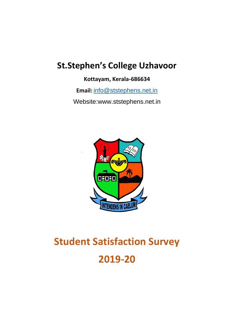# **St.Stephen's College Uzhavoor**

**Kottayam, Kerala-686634**

**Email:** [info@ststephens.net.in](mailto:info@ststephens.net.in)

Website:www.ststephens.net.in



# **Student Satisfaction Survey 2019-20**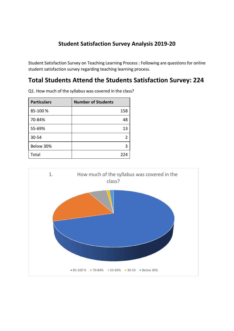### **Student Satisfaction Survey Analysis 2019-20**

Student Satisfaction Survey on Teaching Learning Process : Following are questions for online student satisfaction survey regarding teaching learning process.

## **Total Students Attend the Students Satisfaction Survey: 224**

| <b>Particulars</b> | <b>Number of Students</b> |
|--------------------|---------------------------|
| 85-100 %           | 158                       |
| 70-84%             | 48                        |
| 55-69%             | 13                        |
| 30-54              |                           |
| Below 30%          | 3                         |
| Total              | 224                       |

Q1. How much of the syllabus was covered in the class?

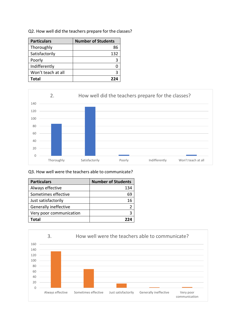| <b>Particulars</b> | <b>Number of Students</b> |
|--------------------|---------------------------|
| Thoroughly         | 86                        |
| Satisfactorily     | 132                       |
| Poorly             |                           |
| Indifferently      |                           |
| Won't teach at all |                           |

**Total 224**

0 20 40 60 80 100 120 140 Thoroughly Satisfactorily Poorly Indifferently Won't teach at all 2. How well did the teachers prepare for the classes?

#### Q3. How well were the teachers able to communicate?

| <b>Particulars</b>      | <b>Number of Students</b> |
|-------------------------|---------------------------|
| Always effective        | 134                       |
| Sometimes effective     | 69                        |
| Just satisfactorily     | 16                        |
| Generally ineffective   |                           |
| Very poor communication | 3                         |
| Total                   | 774                       |



#### Q2. How well did the teachers prepare for the classes?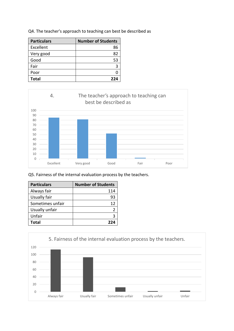| <b>Particulars</b> | <b>Number of Students</b> |
|--------------------|---------------------------|
| Excellent          | 86                        |
| Very good          | 82                        |
| Good               | 53                        |
| Fair               | 3                         |
| Poor               |                           |
| <b>Total</b>       | 224                       |

Q4. The teacher's approach to teaching can best be described as



Q5. Fairness of the internal evaluation process by the teachers.

| <b>Particulars</b> | <b>Number of Students</b> |
|--------------------|---------------------------|
| Always fair        | 114                       |
| Usually fair       | 93                        |
| Sometimes unfair   | 12                        |
| Usually unfair     |                           |
| Unfair             |                           |
| Total              | 224                       |

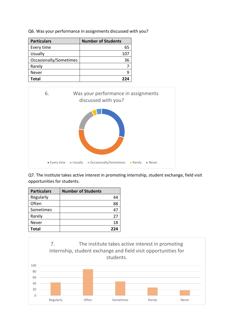|  |  | Q6. Was your performance in assignments discussed with you? |  |  |  |
|--|--|-------------------------------------------------------------|--|--|--|
|--|--|-------------------------------------------------------------|--|--|--|

| <b>Particulars</b>     | <b>Number of Students</b> |
|------------------------|---------------------------|
| Every time             | 65                        |
| <b>Usually</b>         | 107                       |
| Occasionally/Sometimes | 36                        |
| Rarely                 |                           |
| Never                  |                           |
| <b>Total</b>           | 22 A                      |



Q7. The institute takes active interest in promoting internship, student exchange, field visit opportunities for students.

| <b>Particulars</b> | <b>Number of Students</b> |
|--------------------|---------------------------|
| Regularly          | 44                        |
| Often              | 88                        |
| Sometimes          | 47                        |
| Rarely             | 27                        |
| Never              | 18                        |
| <b>Total</b>       | 224                       |

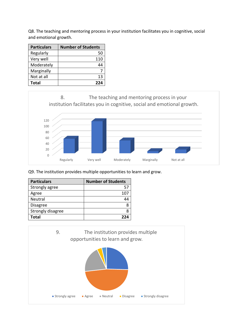Q8. The teaching and mentoring process in your institution facilitates you in cognitive, social and emotional growth.

| <b>Particulars</b> | <b>Number of Students</b> |
|--------------------|---------------------------|
| Regularly          | 50                        |
| Very well          | 110                       |
| Moderately         | 44                        |
| Marginally         |                           |
| Not at all         | 13                        |
| Total              | 224                       |



Q9. The institution provides multiple opportunities to learn and grow.

| <b>Particulars</b> | <b>Number of Students</b> |
|--------------------|---------------------------|
| Strongly agree     | 57                        |
| Agree              | 107                       |
| Neutral            | 44                        |
| <b>Disagree</b>    |                           |
| Strongly disagree  |                           |
| <b>Total</b>       | 22 A                      |

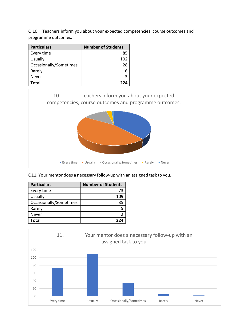Q 10. Teachers inform you about your expected competencies, course outcomes and programme outcomes.

| <b>Particulars</b>     | <b>Number of Students</b> |
|------------------------|---------------------------|
| Every time             | 85                        |
| <b>Usually</b>         | 102                       |
| Occasionally/Sometimes | 28                        |
| Rarely                 |                           |
| Never                  | ર                         |
| Total                  | つつハ                       |



Q11. Your mentor does a necessary follow-up with an assigned task to you.

| <b>Particulars</b>     | <b>Number of Students</b> |
|------------------------|---------------------------|
| Every time             | 73                        |
| <b>Usually</b>         | 109                       |
| Occasionally/Sometimes | 35                        |
| Rarely                 |                           |
| Never                  |                           |
| Total                  | מככ                       |

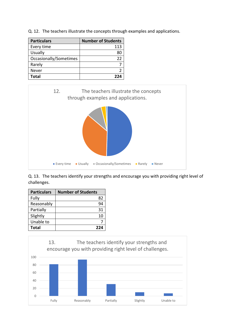Q. 12. The teachers illustrate the concepts through examples and applications.

| <b>Particulars</b>     | <b>Number of Students</b> |
|------------------------|---------------------------|
| Every time             | 113                       |
| <b>Usually</b>         |                           |
| Occasionally/Sometimes | 22                        |
| Rarely                 |                           |
| Never                  |                           |
| Total                  | מככ                       |



Q. 13. The teachers identify your strengths and encourage you with providing right level of challenges.

| <b>Particulars</b> | <b>Number of Students</b> |
|--------------------|---------------------------|
| Fully              | 82                        |
| Reasonably         | 94                        |
| Partially          | 31                        |
| Slightly           | 10                        |
| Unable to          |                           |
| <b>Total</b>       | 224                       |

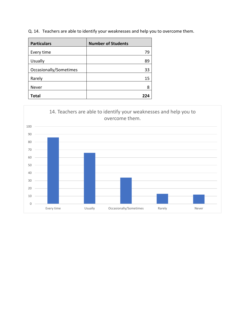Q. 14. Teachers are able to identify your weaknesses and help you to overcome them.

| <b>Particulars</b>     | <b>Number of Students</b> |
|------------------------|---------------------------|
| Every time             | 79                        |
| <b>Usually</b>         | 89                        |
| Occasionally/Sometimes | 33                        |
| Rarely                 | 15                        |
| Never                  |                           |
| <b>Total</b>           | 774                       |

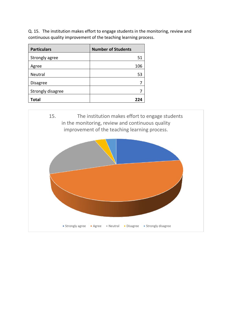Q. 15. The institution makes effort to engage students in the monitoring, review and continuous quality improvement of the teaching learning process.

| <b>Particulars</b> | <b>Number of Students</b> |
|--------------------|---------------------------|
| Strongly agree     | 51                        |
| Agree              | 106                       |
| Neutral            | 53                        |
| <b>Disagree</b>    |                           |
| Strongly disagree  |                           |
| Total              |                           |

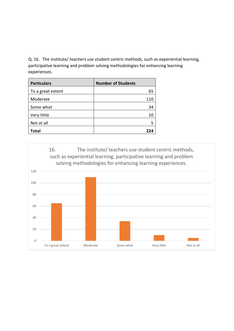Q. 16. The institute/ teachers use student centric methods, such as experiential learning, participative learning and problem solving methodologies for enhancing learning experiences.

| <b>Particulars</b> | <b>Number of Students</b> |
|--------------------|---------------------------|
| To a great extent  | 65                        |
| Moderate           | 110                       |
| Some what          | 34                        |
| Very little        | 10                        |
| Not at all         | 5                         |
| <b>Total</b>       | 774                       |

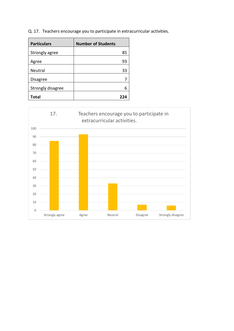Q. 17. Teachers encourage you to participate in extracurricular activities.

| <b>Particulars</b> | <b>Number of Students</b> |
|--------------------|---------------------------|
| Strongly agree     | 85                        |
| Agree              | 93                        |
| <b>Neutral</b>     | 33                        |
| <b>Disagree</b>    |                           |
| Strongly disagree  | 6                         |
| Total              | 224                       |

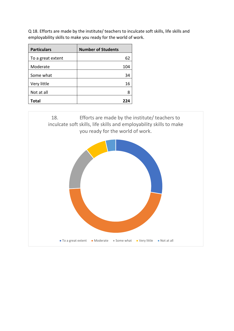Q 18. Efforts are made by the institute/ teachers to inculcate soft skills, life skills and employability skills to make you ready for the world of work.

| <b>Particulars</b> | <b>Number of Students</b> |
|--------------------|---------------------------|
| To a great extent  | 62                        |
| Moderate           | 104                       |
| Some what          | 34                        |
| Very little        | 16                        |
| Not at all         | 8                         |
| <b>Total</b>       | 224                       |

18. Efforts are made by the institute/ teachers to inculcate soft skills, life skills and employability skills to make you ready for the world of work.